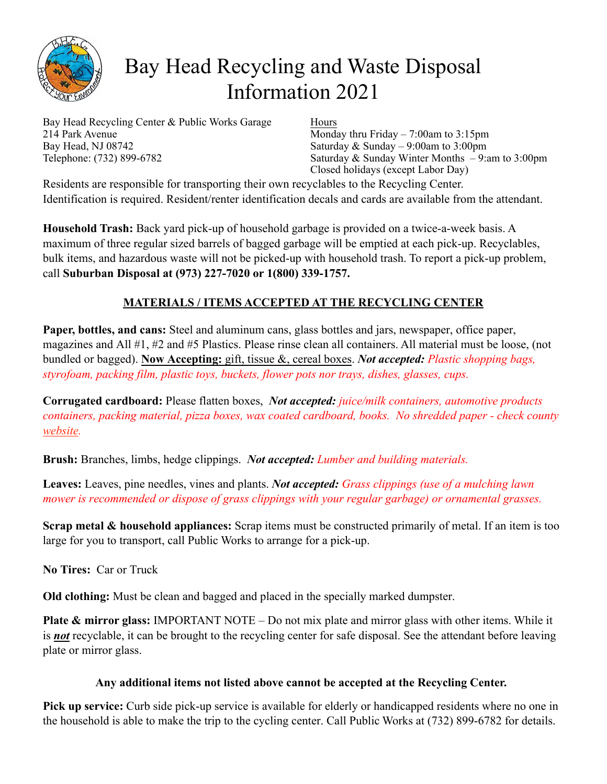

## Bay Head Recycling and Waste Disposal Information 2021

Bay Head Recycling Center & Public Works Garage 214 Park Avenue Bay Head, NJ 08742 Telephone: (732) 899-6782

Hours

Monday thru Friday – 7:00am to 3:15pm Saturday  $& Sunday - 9:00am$  to 3:00pm Saturday & Sunday Winter Months – 9:am to 3:00pm Closed holidays (except Labor Day)

Residents are responsible for transporting their own recyclables to the Recycling Center. Identification is required. Resident/renter identification decals and cards are available from the attendant.

**Household Trash:** Back yard pick-up of household garbage is provided on a twice-a-week basis. A maximum of three regular sized barrels of bagged garbage will be emptied at each pick-up. Recyclables, bulk items, and hazardous waste will not be picked-up with household trash. To report a pick-up problem, call **Suburban Disposal at (973) 227-7020 or 1(800) 339-1757.**

## **MATERIALS / ITEMS ACCEPTED AT THE RECYCLING CENTER**

**Paper, bottles, and cans:** Steel and aluminum cans, glass bottles and jars, newspaper, office paper, magazines and All #1, #2 and #5 Plastics. Please rinse clean all containers. All material must be loose, (not bundled or bagged). **Now Accepting:** gift, tissue &, cereal boxes. *Not accepted: Plastic shopping bags, styrofoam, packing film, plastic toys, buckets, flower pots nor trays, dishes, glasses, cups.*

**Corrugated cardboard:** Please flatten boxes, *Not accepted: juice/milk containers, automotive products containers, packing material, pizza boxes, wax coated cardboard, books. No shredded paper - check county [website](http://www.co.ocean.nj.us/OC/SolidWaste/frmRegContentSW.aspx?ID=3659f397-0fac-4495-b09e-1e1100ed6740).*

**Brush:** Branches, limbs, hedge clippings. *Not accepted: Lumber and building materials.*

**Leaves:** Leaves, pine needles, vines and plants. *Not accepted: Grass clippings (use of a mulching lawn mower is recommended or dispose of grass clippings with your regular garbage) or ornamental grasses.* 

**Scrap metal & household appliances:** Scrap items must be constructed primarily of metal. If an item is too large for you to transport, call Public Works to arrange for a pick-up.

**No Tires:** Car or Truck

**Old clothing:** Must be clean and bagged and placed in the specially marked dumpster.

**Plate & mirror glass:** IMPORTANT NOTE – Do not mix plate and mirror glass with other items. While it is *not* recyclable, it can be brought to the recycling center for safe disposal. See the attendant before leaving plate or mirror glass.

## **Any additional items not listed above cannot be accepted at the Recycling Center.**

**Pick up service:** Curb side pick-up service is available for elderly or handicapped residents where no one in the household is able to make the trip to the cycling center. Call Public Works at (732) 899-6782 for details.